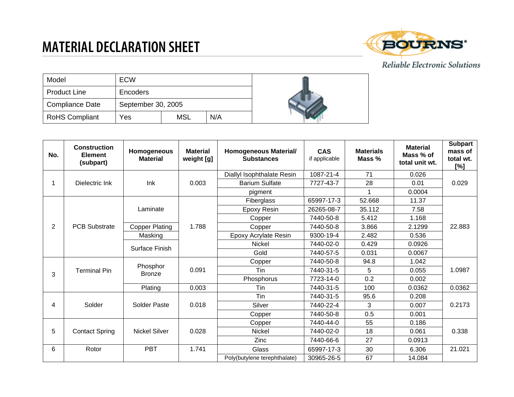## **MATERIAL DECLARATION SHEET**



## Reliable Electronic Solutions

| Model                  | ECW                |            |     |  |
|------------------------|--------------------|------------|-----|--|
| <b>Product Line</b>    | Encoders           |            |     |  |
| <b>Compliance Date</b> | September 30, 2005 |            |     |  |
| <b>RoHS Compliant</b>  | Yes                | <b>MSL</b> | N/A |  |

| No.            | <b>Construction</b><br><b>Element</b><br>(subpart) | Homogeneous<br><b>Material</b> | <b>Material</b><br>weight [g] | <b>Homogeneous Material/</b><br><b>Substances</b> | <b>CAS</b><br>if applicable | <b>Materials</b><br>Mass % | <b>Material</b><br>Mass % of<br>total unit wt. | <b>Subpart</b><br>mass of<br>total wt.<br>[%] |
|----------------|----------------------------------------------------|--------------------------------|-------------------------------|---------------------------------------------------|-----------------------------|----------------------------|------------------------------------------------|-----------------------------------------------|
|                | Dielectric Ink                                     | Ink                            | 0.003                         | Diallyl Isophthalate Resin                        | 1087-21-4                   | 71                         | 0.026                                          | 0.029                                         |
|                |                                                    |                                |                               | <b>Barium Sulfate</b>                             | 7727-43-7                   | 28                         | 0.01                                           |                                               |
|                |                                                    |                                |                               | pigment                                           |                             | 1                          | 0.0004                                         |                                               |
| $\overline{2}$ | <b>PCB Substrate</b>                               | Laminate                       | 1.788                         | Fiberglass                                        | 65997-17-3                  | 52.668                     | 11.37                                          | 22.883                                        |
|                |                                                    |                                |                               | Epoxy Resin                                       | 26265-08-7                  | 35.112                     | 7.58                                           |                                               |
|                |                                                    |                                |                               | Copper                                            | 7440-50-8                   | 5.412                      | 1.168                                          |                                               |
|                |                                                    | <b>Copper Plating</b>          |                               | Copper                                            | 7440-50-8                   | 3.866                      | 2.1299                                         |                                               |
|                |                                                    | Masking                        |                               | Epoxy Acrylate Resin                              | 9300-19-4                   | 2.482                      | 0.536                                          |                                               |
|                |                                                    | Surface Finish                 |                               | <b>Nickel</b>                                     | 7440-02-0                   | 0.429                      | 0.0926                                         |                                               |
|                |                                                    |                                |                               | Gold                                              | 7440-57-5                   | 0.031                      | 0.0067                                         |                                               |
| 3              | <b>Terminal Pin</b>                                | Phosphor<br><b>Bronze</b>      | 0.091                         | Copper                                            | 7440-50-8                   | 94.8                       | 1.042                                          | 1.0987                                        |
|                |                                                    |                                |                               | Tin                                               | 7440-31-5                   | 5.                         | 0.055                                          |                                               |
|                |                                                    |                                |                               | Phosphorus                                        | 7723-14-0                   | 0.2                        | 0.002                                          |                                               |
|                |                                                    | Plating                        | 0.003                         | Tin                                               | 7440-31-5                   | 100                        | 0.0362                                         | 0.0362                                        |
| 4              | Solder                                             | Solder Paste                   | 0.018                         | Tin                                               | 7440-31-5                   | 95.6                       | 0.208                                          | 0.2173                                        |
|                |                                                    |                                |                               | Silver                                            | 7440-22-4                   | 3                          | 0.007                                          |                                               |
|                |                                                    |                                |                               | Copper                                            | 7440-50-8                   | 0.5                        | 0.001                                          |                                               |
| 5              | <b>Contact Spring</b>                              | <b>Nickel Silver</b>           | 0.028                         | Copper                                            | 7440-44-0                   | 55                         | 0.186                                          | 0.338                                         |
|                |                                                    |                                |                               | Nickel                                            | 7440-02-0                   | 18                         | 0.061                                          |                                               |
|                |                                                    |                                |                               | Zinc                                              | 7440-66-6                   | 27                         | 0.0913                                         |                                               |
| 6              | Rotor                                              | <b>PBT</b>                     | 1.741                         | Glass                                             | 65997-17-3                  | 30                         | 6.306                                          | 21.021                                        |
|                |                                                    |                                |                               | Poly(butylene terephthalate)                      | 30965-26-5                  | 67                         | 14.084                                         |                                               |